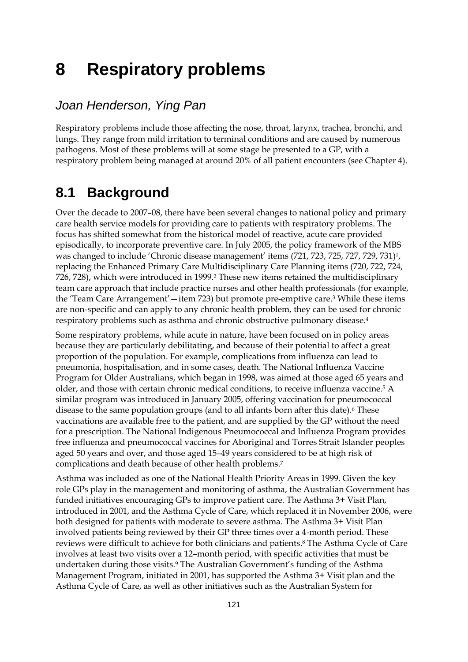# **8 Respiratory problems**

## *Joan Henderson, Ying Pan*

Respiratory problems include those affecting the nose, throat, larynx, trachea, bronchi, and lungs. They range from mild irritation to terminal conditions and are caused by numerous pathogens. Most of these problems will at some stage be presented to a GP, with a respiratory problem being managed at around 20% of all patient encounters (see Chapter 4).

# **8.1 Background**

Over the decade to 2007–08, there have been several changes to national policy and primary care health service models for providing care to patients with respiratory problems. The focus has shifted somewhat from the historical model of reactive, acute care provided episodically, to incorporate preventive care. In July 2005, the policy framework of the MBS was changed to include 'Chronic disease management' items (721, 723, 725, 727, 729, 731)<sup>1</sup>, replacing the Enhanced Primary Care Multidisciplinary Care Planning items (720, 722, 724, 726, 728), which were introduced in 1999.2 These new items retained the multidisciplinary team care approach that include practice nurses and other health professionals (for example, the 'Team Care Arrangement'—item 723) but promote pre-emptive care.3 While these items are non-specific and can apply to any chronic health problem, they can be used for chronic respiratory problems such as asthma and chronic obstructive pulmonary disease.4

Some respiratory problems, while acute in nature, have been focused on in policy areas because they are particularly debilitating, and because of their potential to affect a great proportion of the population. For example, complications from influenza can lead to pneumonia, hospitalisation, and in some cases, death. The National Influenza Vaccine Program for Older Australians, which began in 1998, was aimed at those aged 65 years and older, and those with certain chronic medical conditions, to receive influenza vaccine.5 A similar program was introduced in January 2005, offering vaccination for pneumococcal disease to the same population groups (and to all infants born after this date).<sup>6</sup> These vaccinations are available free to the patient, and are supplied by the GP without the need for a prescription. The National Indigenous Pneumococcal and Influenza Program provides free influenza and pneumococcal vaccines for Aboriginal and Torres Strait Islander peoples aged 50 years and over, and those aged 15–49 years considered to be at high risk of complications and death because of other health problems.7

Asthma was included as one of the National Health Priority Areas in 1999. Given the key role GPs play in the management and monitoring of asthma, the Australian Government has funded initiatives encouraging GPs to improve patient care. The Asthma 3+ Visit Plan, introduced in 2001, and the Asthma Cycle of Care, which replaced it in November 2006, were both designed for patients with moderate to severe asthma. The Asthma 3+ Visit Plan involved patients being reviewed by their GP three times over a 4-month period. These reviews were difficult to achieve for both clinicians and patients.8 The Asthma Cycle of Care involves at least two visits over a 12–month period, with specific activities that must be undertaken during those visits.9 The Australian Government's funding of the Asthma Management Program, initiated in 2001, has supported the Asthma 3+ Visit plan and the Asthma Cycle of Care, as well as other initiatives such as the Australian System for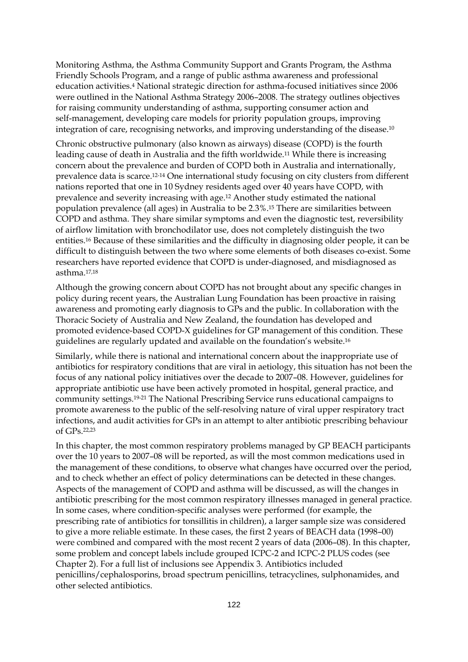Monitoring Asthma, the Asthma Community Support and Grants Program, the Asthma Friendly Schools Program, and a range of public asthma awareness and professional education activities.4 National strategic direction for asthma-focused initiatives since 2006 were outlined in the National Asthma Strategy 2006–2008. The strategy outlines objectives for raising community understanding of asthma, supporting consumer action and self-management, developing care models for priority population groups, improving integration of care, recognising networks, and improving understanding of the disease.10

Chronic obstructive pulmonary (also known as airways) disease (COPD) is the fourth leading cause of death in Australia and the fifth worldwide.11 While there is increasing concern about the prevalence and burden of COPD both in Australia and internationally, prevalence data is scarce.12-14 One international study focusing on city clusters from different nations reported that one in 10 Sydney residents aged over 40 years have COPD, with prevalence and severity increasing with age.12 Another study estimated the national population prevalence (all ages) in Australia to be 2.3%.15 There are similarities between COPD and asthma. They share similar symptoms and even the diagnostic test, reversibility of airflow limitation with bronchodilator use, does not completely distinguish the two entities.16 Because of these similarities and the difficulty in diagnosing older people, it can be difficult to distinguish between the two where some elements of both diseases co-exist. Some researchers have reported evidence that COPD is under-diagnosed, and misdiagnosed as asthma.17,18

Although the growing concern about COPD has not brought about any specific changes in policy during recent years, the Australian Lung Foundation has been proactive in raising awareness and promoting early diagnosis to GPs and the public. In collaboration with the Thoracic Society of Australia and New Zealand, the foundation has developed and promoted evidence-based COPD-X guidelines for GP management of this condition. These guidelines are regularly updated and available on the foundation's website.16

Similarly, while there is national and international concern about the inappropriate use of antibiotics for respiratory conditions that are viral in aetiology, this situation has not been the focus of any national policy initiatives over the decade to 2007–08. However, guidelines for appropriate antibiotic use have been actively promoted in hospital, general practice, and community settings.19-21 The National Prescribing Service runs educational campaigns to promote awareness to the public of the self-resolving nature of viral upper respiratory tract infections, and audit activities for GPs in an attempt to alter antibiotic prescribing behaviour of GPs.22,23

In this chapter, the most common respiratory problems managed by GP BEACH participants over the 10 years to 2007–08 will be reported, as will the most common medications used in the management of these conditions, to observe what changes have occurred over the period, and to check whether an effect of policy determinations can be detected in these changes. Aspects of the management of COPD and asthma will be discussed, as will the changes in antibiotic prescribing for the most common respiratory illnesses managed in general practice. In some cases, where condition-specific analyses were performed (for example, the prescribing rate of antibiotics for tonsillitis in children), a larger sample size was considered to give a more reliable estimate. In these cases, the first 2 years of BEACH data (1998–00) were combined and compared with the most recent 2 years of data (2006–08). In this chapter, some problem and concept labels include grouped ICPC-2 and ICPC-2 PLUS codes (see Chapter 2). For a full list of inclusions see Appendix 3. Antibiotics included penicillins/cephalosporins, broad spectrum penicillins, tetracyclines, sulphonamides, and other selected antibiotics.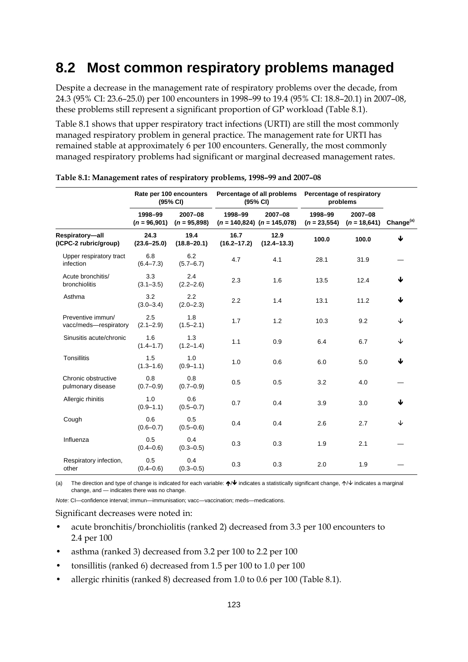# **8.2 Most common respiratory problems managed**

Despite a decrease in the management rate of respiratory problems over the decade, from 24.3 (95% CI: 23.6–25.0) per 100 encounters in 1998–99 to 19.4 (95% CI: 18.8–20.1) in 2007–08, these problems still represent a significant proportion of GP workload (Table 8.1).

Table 8.1 shows that upper respiratory tract infections (URTI) are still the most commonly managed respiratory problem in general practice. The management rate for URTI has remained stable at approximately 6 per 100 encounters. Generally, the most commonly managed respiratory problems had significant or marginal decreased management rates.

|                                            |                           | Rate per 100 encounters<br>(95% CI) | Percentage of all problems<br>(95% CI) |                                            | Percentage of respiratory<br>problems |                           |                       |
|--------------------------------------------|---------------------------|-------------------------------------|----------------------------------------|--------------------------------------------|---------------------------------------|---------------------------|-----------------------|
|                                            | 1998-99<br>$(n = 96,901)$ | 2007-08<br>$(n = 95,898)$           | 1998-99                                | 2007-08<br>$(n = 140,824)$ $(n = 145,078)$ | 1998-99<br>$(n = 23, 554)$            | 2007-08<br>$(n = 18,641)$ | Change <sup>(a)</sup> |
| Respiratory-all<br>(ICPC-2 rubric/group)   | 24.3<br>$(23.6 - 25.0)$   | 19.4<br>$(18.8 - 20.1)$             | 16.7<br>$(16.2 - 17.2)$                | 12.9<br>$(12.4 - 13.3)$                    | 100.0                                 | 100.0                     | ↓                     |
| Upper respiratory tract<br>infection       | 6.8<br>$(6.4 - 7.3)$      | 6.2<br>$(5.7 - 6.7)$                | 4.7                                    | 4.1                                        | 28.1                                  | 31.9                      |                       |
| Acute bronchitis/<br>bronchiolitis         | 3.3<br>$(3.1 - 3.5)$      | 2.4<br>$(2.2 - 2.6)$                | 2.3                                    | 1.6                                        | 13.5                                  | 12.4                      | J                     |
| Asthma                                     | 3.2<br>$(3.0 - 3.4)$      | 2.2<br>$(2.0 - 2.3)$                | 2.2                                    | 1.4                                        | 13.1                                  | 11.2                      | 业                     |
| Preventive immun/<br>vacc/meds-respiratory | 2.5<br>$(2.1 - 2.9)$      | 1.8<br>$(1.5 - 2.1)$                | 1.7                                    | 1.2                                        | 10.3                                  | 9.2                       | ↓                     |
| Sinusitis acute/chronic                    | 1.6<br>$(1.4 - 1.7)$      | 1.3<br>$(1.2 - 1.4)$                | 1.1                                    | 0.9                                        | 6.4                                   | 6.7                       | ↓                     |
| <b>Tonsillitis</b>                         | 1.5<br>$(1.3 - 1.6)$      | 1.0<br>$(0.9 - 1.1)$                | 1.0                                    | 0.6                                        | 6.0                                   | 5.0                       | ↓                     |
| Chronic obstructive<br>pulmonary disease   | 0.8<br>$(0.7 - 0.9)$      | 0.8<br>$(0.7 - 0.9)$                | 0.5                                    | 0.5                                        | 3.2                                   | 4.0                       |                       |
| Allergic rhinitis                          | 1.0<br>$(0.9 - 1.1)$      | 0.6<br>$(0.5 - 0.7)$                | 0.7                                    | 0.4                                        | 3.9                                   | 3.0                       | 业                     |
| Cough                                      | 0.6<br>$(0.6 - 0.7)$      | 0.5<br>$(0.5 - 0.6)$                | 0.4                                    | 0.4                                        | 2.6                                   | 2.7                       | ↓                     |
| Influenza                                  | 0.5<br>$(0.4 - 0.6)$      | 0.4<br>$(0.3 - 0.5)$                | 0.3                                    | 0.3                                        | 1.9                                   | 2.1                       |                       |
| Respiratory infection,<br>other            | 0.5<br>$(0.4 - 0.6)$      | 0.4<br>$(0.3 - 0.5)$                | 0.3                                    | 0.3                                        | 2.0                                   | 1.9                       |                       |

| Table 8.1: Management rates of respiratory problems, 1998-99 and 2007-08 |  |  |
|--------------------------------------------------------------------------|--|--|
|                                                                          |  |  |

(a) The direction and type of change is indicated for each variable:  $\bigwedge \bigvee$  indicates a statistically significant change,  $\bigwedge \bigvee$  indicates a marginal change, and — indicates there was no change.

*Note*: CI—confidence interval; immun—immunisation; vacc—vaccination; meds—medications.

Significant decreases were noted in:

- acute bronchitis/bronchiolitis (ranked 2) decreased from 3.3 per 100 encounters to 2.4 per 100
- asthma (ranked 3) decreased from 3.2 per 100 to 2.2 per 100
- tonsillitis (ranked 6) decreased from 1.5 per 100 to 1.0 per 100
- allergic rhinitis (ranked 8) decreased from 1.0 to 0.6 per 100 (Table 8.1).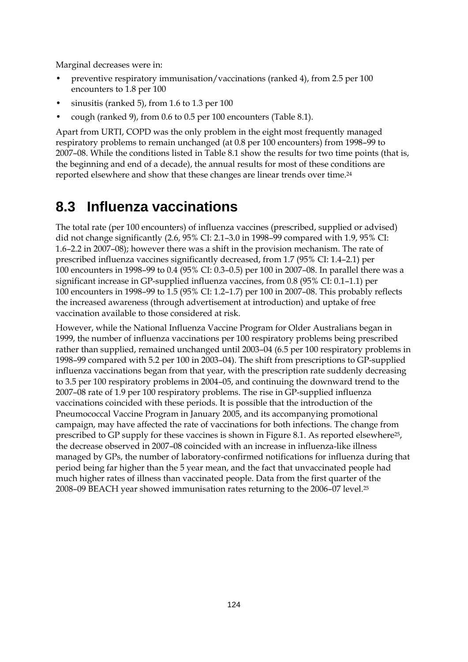Marginal decreases were in:

- preventive respiratory immunisation/vaccinations (ranked 4), from 2.5 per 100 encounters to 1.8 per 100
- sinusitis (ranked 5), from 1.6 to 1.3 per  $100$
- cough (ranked 9), from 0.6 to 0.5 per 100 encounters (Table 8.1).

Apart from URTI, COPD was the only problem in the eight most frequently managed respiratory problems to remain unchanged (at 0.8 per 100 encounters) from 1998–99 to 2007–08. While the conditions listed in Table 8.1 show the results for two time points (that is, the beginning and end of a decade), the annual results for most of these conditions are reported elsewhere and show that these changes are linear trends over time.24

# **8.3 Influenza vaccinations**

The total rate (per 100 encounters) of influenza vaccines (prescribed, supplied or advised) did not change significantly (2.6, 95% CI: 2.1–3.0 in 1998–99 compared with 1.9, 95% CI: 1.6–2.2 in 2007–08); however there was a shift in the provision mechanism. The rate of prescribed influenza vaccines significantly decreased, from 1.7 (95% CI: 1.4–2.1) per 100 encounters in 1998–99 to 0.4 (95% CI: 0.3–0.5) per 100 in 2007–08. In parallel there was a significant increase in GP-supplied influenza vaccines, from 0.8 (95% CI: 0.1–1.1) per 100 encounters in 1998–99 to 1.5 (95% CI: 1.2–1.7) per 100 in 2007–08. This probably reflects the increased awareness (through advertisement at introduction) and uptake of free vaccination available to those considered at risk.

However, while the National Influenza Vaccine Program for Older Australians began in 1999, the number of influenza vaccinations per 100 respiratory problems being prescribed rather than supplied, remained unchanged until 2003–04 (6.5 per 100 respiratory problems in 1998–99 compared with 5.2 per 100 in 2003–04). The shift from prescriptions to GP-supplied influenza vaccinations began from that year, with the prescription rate suddenly decreasing to 3.5 per 100 respiratory problems in 2004–05, and continuing the downward trend to the 2007–08 rate of 1.9 per 100 respiratory problems. The rise in GP-supplied influenza vaccinations coincided with these periods. It is possible that the introduction of the Pneumococcal Vaccine Program in January 2005, and its accompanying promotional campaign, may have affected the rate of vaccinations for both infections. The change from prescribed to GP supply for these vaccines is shown in Figure 8.1. As reported elsewhere25, the decrease observed in 2007–08 coincided with an increase in influenza-like illness managed by GPs, the number of laboratory-confirmed notifications for influenza during that period being far higher than the 5 year mean, and the fact that unvaccinated people had much higher rates of illness than vaccinated people. Data from the first quarter of the 2008–09 BEACH year showed immunisation rates returning to the 2006–07 level.25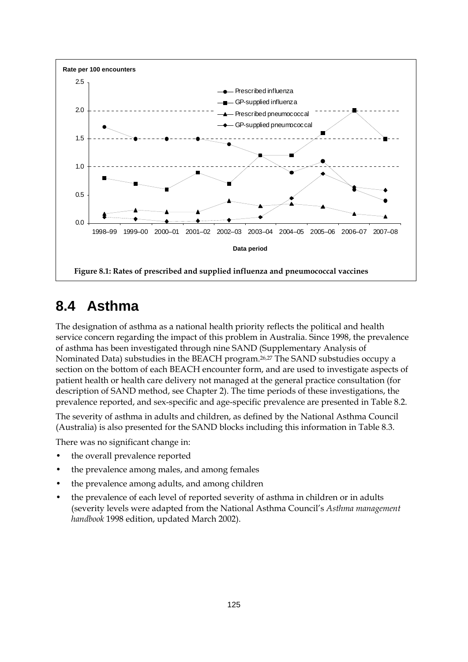

# **8.4 Asthma**

The designation of asthma as a national health priority reflects the political and health service concern regarding the impact of this problem in Australia. Since 1998, the prevalence of asthma has been investigated through nine SAND (Supplementary Analysis of Nominated Data) substudies in the BEACH program.26,27 The SAND substudies occupy a section on the bottom of each BEACH encounter form, and are used to investigate aspects of patient health or health care delivery not managed at the general practice consultation (for description of SAND method, see Chapter 2). The time periods of these investigations, the prevalence reported, and sex-specific and age-specific prevalence are presented in Table 8.2.

The severity of asthma in adults and children, as defined by the National Asthma Council (Australia) is also presented for the SAND blocks including this information in Table 8.3.

There was no significant change in:

- the overall prevalence reported
- the prevalence among males, and among females
- the prevalence among adults, and among children
- the prevalence of each level of reported severity of asthma in children or in adults (severity levels were adapted from the National Asthma Council's *Asthma management handbook* 1998 edition, updated March 2002).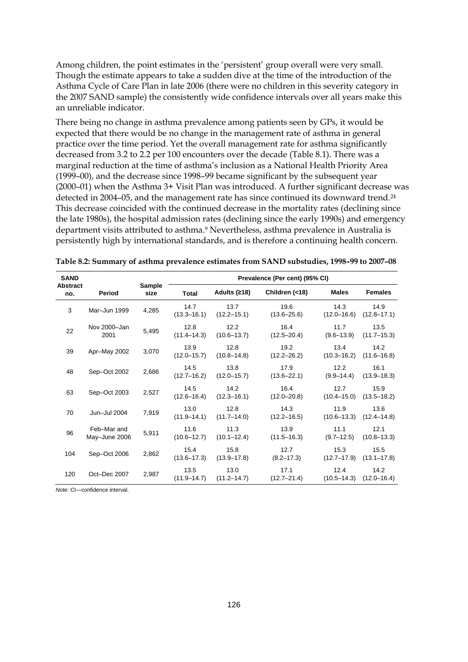Among children, the point estimates in the 'persistent' group overall were very small. Though the estimate appears to take a sudden dive at the time of the introduction of the Asthma Cycle of Care Plan in late 2006 (there were no children in this severity category in the 2007 SAND sample) the consistently wide confidence intervals over all years make this an unreliable indicator.

There being no change in asthma prevalence among patients seen by GPs, it would be expected that there would be no change in the management rate of asthma in general practice over the time period. Yet the overall management rate for asthma significantly decreased from 3.2 to 2.2 per 100 encounters over the decade (Table 8.1). There was a marginal reduction at the time of asthma's inclusion as a National Health Priority Area (1999–00), and the decrease since 1998–99 became significant by the subsequent year (2000–01) when the Asthma 3+ Visit Plan was introduced. A further significant decrease was detected in 2004–05, and the management rate has since continued its downward trend.<sup>24</sup> This decrease coincided with the continued decrease in the mortality rates (declining since the late 1980s), the hospital admission rates (declining since the early 1990s) and emergency department visits attributed to asthma.9 Nevertheless, asthma prevalence in Australia is persistently high by international standards, and is therefore a continuing health concern.

| <b>SAND</b>            |                              |                |                         |                         | Prevalence (Per cent) (95% CI) |                         |                         |
|------------------------|------------------------------|----------------|-------------------------|-------------------------|--------------------------------|-------------------------|-------------------------|
| <b>Abstract</b><br>no. | Period                       | Sample<br>size | <b>Total</b>            | Adults (≥18)            | Children (<18)                 | <b>Males</b>            | <b>Females</b>          |
| 3                      | Mar-Jun 1999                 | 4,285          | 14.7<br>$(13.3 - 16.1)$ | 13.7<br>$(12.2 - 15.1)$ | 19.6<br>$(13.6 - 25.6)$        | 14.3<br>$(12.0 - 16.6)$ | 14.9<br>$(12.8 - 17.1)$ |
| 22                     | Nov 2000-Jan<br>2001         | 5,495          | 12.8<br>$(11.4 - 14.3)$ | 12.2<br>$(10.6 - 13.7)$ | 16.4<br>$(12.5 - 20.4)$        | 11.7<br>$(9.6 - 13.9)$  | 13.5<br>$(11.7 - 15.3)$ |
| 39                     | Apr-May 2002                 | 3,070          | 13.9<br>$(12.0 - 15.7)$ | 12.8<br>$(10.8 - 14.8)$ | 19.2<br>$(12.2 - 26.2)$        | 13.4<br>$(10.3 - 16.2)$ | 14.2<br>$(11.6 - 16.8)$ |
| 48                     | Sep-Oct 2002                 | 2,686          | 14.5<br>$(12.7 - 16.2)$ | 13.8<br>$(12.0 - 15.7)$ | 17.9<br>$(13.6 - 22.1)$        | 12.2<br>$(9.9 - 14.4)$  | 16.1<br>$(13.9 - 18.3)$ |
| 63                     | Sep-Oct 2003                 | 2,527          | 14.5<br>$(12.6 - 16.4)$ | 14.2<br>$(12.3 - 16.1)$ | 16.4<br>$(12.0 - 20.8)$        | 12.7<br>$(10.4 - 15.0)$ | 15.9<br>$(13.5 - 18.2)$ |
| 70                     | Jun-Jul 2004                 | 7,919          | 13.0<br>$(11.9 - 14.1)$ | 12.8<br>$(11.7 - 14.0)$ | 14.3<br>$(12.2 - 16.5)$        | 11.9<br>$(10.6 - 13.3)$ | 13.6<br>$(12.4 - 14.8)$ |
| 96                     | Feb-Mar and<br>May-June 2006 | 5,911          | 11.6<br>$(10.6 - 12.7)$ | 11.3<br>$(10.1 - 12.4)$ | 13.9<br>$(11.5 - 16.3)$        | 11.1<br>$(9.7 - 12.5)$  | 12.1<br>$(10.8 - 13.3)$ |
| 104                    | Sep-Oct 2006                 | 2,862          | 15.4<br>$(13.6 - 17.3)$ | 15.8<br>$(13.9 - 17.8)$ | 12.7<br>$(8.2 - 17.3)$         | 15.3<br>$(12.7 - 17.9)$ | 15.5<br>$(13.1 - 17.8)$ |
| 120                    | Oct-Dec 2007                 | 2,987          | 13.5<br>$(11.9 - 14.7)$ | 13.0<br>$(11.2 - 14.7)$ | 17.1<br>$(12.7 - 21.4)$        | 12.4<br>$(10.5 - 14.3)$ | 14.2<br>$(12.0 - 16.4)$ |

|  |  |  |  |  |  | Table 8.2: Summary of asthma prevalence estimates from SAND substudies, 1998–99 to 2007–08 |
|--|--|--|--|--|--|--------------------------------------------------------------------------------------------|
|--|--|--|--|--|--|--------------------------------------------------------------------------------------------|

*Note:* CI—confidence interval.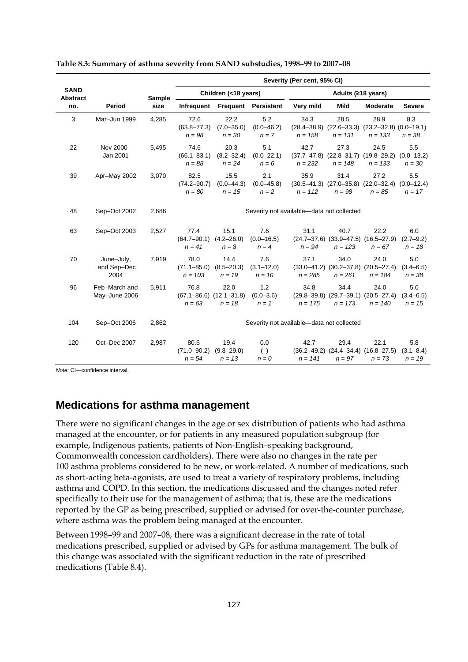|                                |                                   |        | Severity (Per cent, 95% CI)          |                                                     |                                   |                                           |                    |                                                                             |                                   |
|--------------------------------|-----------------------------------|--------|--------------------------------------|-----------------------------------------------------|-----------------------------------|-------------------------------------------|--------------------|-----------------------------------------------------------------------------|-----------------------------------|
| <b>SAND</b><br><b>Abstract</b> |                                   | Sample |                                      | Children (<18 years)                                |                                   |                                           | Adults (≥18 years) |                                                                             |                                   |
| no.                            | Period                            | size   | Infrequent                           |                                                     | <b>Frequent Persistent</b>        | Very mild                                 | <b>Mild</b>        | <b>Moderate</b>                                                             | <b>Severe</b>                     |
| 3                              | Mar-Jun 1999                      | 4,285  | 72.6<br>$(63.8 - 77.3)$<br>$n = 98$  | 22.2<br>$(7.0 - 35.0)$<br>$n = 30$                  | 5.2<br>$(0.0 - 46.2)$<br>$n = 7$  | 34.3<br>$n = 158$                         | 28.5<br>$n = 131$  | 28.9<br>$(28.4-38.9)$ $(22.6-33.3)$ $(23.2-32.8)$ $(0.0-19.1)$<br>$n = 133$ | 8.3<br>$n = 38$                   |
| 22                             | Nov 2000-<br>Jan 2001             | 5,495  | 74.6<br>$(66.1 - 83.1)$<br>$n = 88$  | 20.3<br>$(8.2 - 32.4)$<br>$n = 24$                  | 5.1<br>$(0.0 - 22.1)$<br>$n = 6$  | 42.7<br>$n = 232$                         | 27.3<br>$n = 148$  | 24.5<br>$(37.7-47.8)$ $(22.8-31.7)$ $(19.8-29.2)$<br>$n = 133$              | 5.5<br>$(0.0 - 13.2)$<br>$n = 30$ |
| 39                             | Apr-May 2002                      | 3,070  | 82.5<br>$(74.2 - 90.7)$<br>$n = 80$  | 15.5<br>$(0.0 - 44.3)$<br>$n = 15$                  | 2.1<br>$(0.0 - 45.8)$<br>$n = 2$  | 35.9<br>$n = 112$                         | 31.4<br>$n = 98$   | 27.2<br>$(30.5-41.3)$ $(27.0-35.8)$ $(22.0-32.4)$<br>$n = 85$               | 5.5<br>$(0.0 - 12.4)$<br>$n = 17$ |
| 48                             | Sep-Oct 2002                      | 2,686  |                                      |                                                     |                                   | Severity not available-data not collected |                    |                                                                             |                                   |
| 63                             | Sep-Oct 2003                      | 2,527  | 77.4<br>$(64.7 - 90.1)$<br>$n = 41$  | 15.1<br>$(4.2 - 26.0)$<br>$n = 8$                   | 7.6<br>$(0.0 - 16.5)$<br>$n = 4$  | 31.1<br>$n = 94$                          | 40.7<br>$n = 123$  | 22.2<br>$(24.7-37.6)$ $(33.9-47.5)$ $(16.5-27.9)$<br>$n = 67$               | 6.0<br>$(2.7 - 9.2)$<br>$n = 18$  |
| 70                             | June-July,<br>and Sep-Dec<br>2004 | 7,919  | 78.0<br>$(71.1 - 85.0)$<br>$n = 103$ | 14.4<br>$(8.5 - 20.3)$<br>$n = 19$                  | 7.6<br>$(3.1 - 12.0)$<br>$n = 10$ | 37.1<br>$n = 285$                         | 34.0<br>$n = 261$  | 24.0<br>$(33.0-41.2)$ $(30.2-37.8)$ $(20.5-27.4)$<br>$n = 184$              | 5.0<br>$(3.4 - 6.5)$<br>$n = 38$  |
| 96                             | Feb-March and<br>May-June 2006    | 5,911  | 76.8<br>$n = 63$                     | 22.0<br>$(67.1 - 86.6)$ $(12.1 - 31.8)$<br>$n = 18$ | 1.2<br>$(0.0 - 3.6)$<br>$n = 1$   | 34.8<br>$n = 175$                         | 34.4<br>$n = 173$  | 24.0<br>$(29.8-39.8)$ $(29.7-39.1)$ $(20.5-27.4)$<br>$n = 140$              | 5.0<br>$(3.4 - 6.5)$<br>$n = 15$  |
| 104                            | Sep-Oct 2006                      | 2,862  |                                      |                                                     |                                   | Severity not available-data not collected |                    |                                                                             |                                   |
| 120                            | Oct-Dec 2007                      | 2,987  | 80.6<br>$(71.0 - 90.2)$<br>$n = 54$  | 19.4<br>$(9.8 - 29.0)$<br>$n = 13$                  | 0.0<br>$(-)$<br>$n = 0$           | 42.7<br>$n = 141$                         | 29.4<br>$n = 97$   | 22.1<br>$(36.2-49.2)$ $(24.4-34.4)$ $(16.8-27.5)$<br>$n = 73$               | 5.8<br>$(3.1 - 8.4)$<br>$n = 19$  |

#### **Table 8.3: Summary of asthma severity from SAND substudies, 1998–99 to 2007–08**

*Note:* CI—confidence interval.

### **Medications for asthma management**

There were no significant changes in the age or sex distribution of patients who had asthma managed at the encounter, or for patients in any measured population subgroup (for example, Indigenous patients, patients of Non-English–speaking background, Commonwealth concession cardholders). There were also no changes in the rate per 100 asthma problems considered to be new, or work-related. A number of medications, such as short-acting beta-agonists, are used to treat a variety of respiratory problems, including asthma and COPD. In this section, the medications discussed and the changes noted refer specifically to their use for the management of asthma; that is, these are the medications reported by the GP as being prescribed, supplied or advised for over-the-counter purchase, where asthma was the problem being managed at the encounter.

Between 1998–99 and 2007–08, there was a significant decrease in the rate of total medications prescribed, supplied or advised by GPs for asthma management. The bulk of this change was associated with the significant reduction in the rate of prescribed medications (Table 8.4).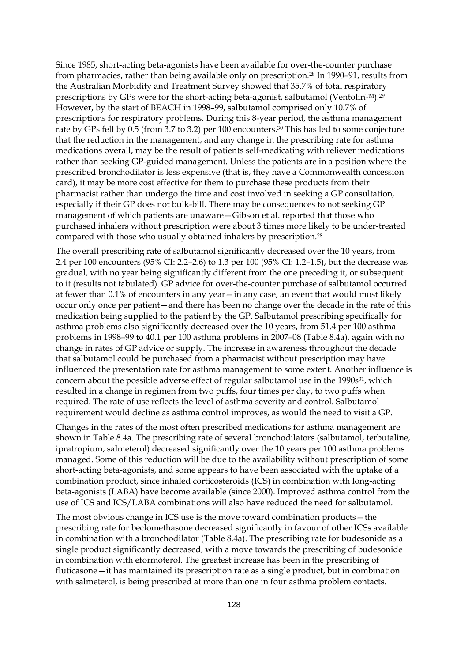Since 1985, short-acting beta-agonists have been available for over-the-counter purchase from pharmacies, rather than being available only on prescription.28 In 1990–91, results from the Australian Morbidity and Treatment Survey showed that 35.7% of total respiratory prescriptions by GPs were for the short-acting beta-agonist, salbutamol (VentolinTM).29 However, by the start of BEACH in 1998–99, salbutamol comprised only 10.7% of prescriptions for respiratory problems. During this 8-year period, the asthma management rate by GPs fell by 0.5 (from 3.7 to 3.2) per 100 encounters.<sup>30</sup> This has led to some conjecture that the reduction in the management, and any change in the prescribing rate for asthma medications overall, may be the result of patients self-medicating with reliever medications rather than seeking GP-guided management. Unless the patients are in a position where the prescribed bronchodilator is less expensive (that is, they have a Commonwealth concession card), it may be more cost effective for them to purchase these products from their pharmacist rather than undergo the time and cost involved in seeking a GP consultation, especially if their GP does not bulk-bill. There may be consequences to not seeking GP management of which patients are unaware—Gibson et al. reported that those who purchased inhalers without prescription were about 3 times more likely to be under-treated compared with those who usually obtained inhalers by prescription.28

The overall prescribing rate of salbutamol significantly decreased over the 10 years, from 2.4 per 100 encounters (95% CI: 2.2–2.6) to 1.3 per 100 (95% CI: 1.2–1.5), but the decrease was gradual, with no year being significantly different from the one preceding it, or subsequent to it (results not tabulated). GP advice for over-the-counter purchase of salbutamol occurred at fewer than 0.1% of encounters in any year—in any case, an event that would most likely occur only once per patient—and there has been no change over the decade in the rate of this medication being supplied to the patient by the GP. Salbutamol prescribing specifically for asthma problems also significantly decreased over the 10 years, from 51.4 per 100 asthma problems in 1998–99 to 40.1 per 100 asthma problems in 2007–08 (Table 8.4a), again with no change in rates of GP advice or supply. The increase in awareness throughout the decade that salbutamol could be purchased from a pharmacist without prescription may have influenced the presentation rate for asthma management to some extent. Another influence is concern about the possible adverse effect of regular salbutamol use in the 1990s<sup>31</sup>, which resulted in a change in regimen from two puffs, four times per day, to two puffs when required. The rate of use reflects the level of asthma severity and control. Salbutamol requirement would decline as asthma control improves, as would the need to visit a GP.

Changes in the rates of the most often prescribed medications for asthma management are shown in Table 8.4a. The prescribing rate of several bronchodilators (salbutamol, terbutaline, ipratropium, salmeterol) decreased significantly over the 10 years per 100 asthma problems managed. Some of this reduction will be due to the availability without prescription of some short-acting beta-agonists, and some appears to have been associated with the uptake of a combination product, since inhaled corticosteroids (ICS) in combination with long-acting beta-agonists (LABA) have become available (since 2000). Improved asthma control from the use of ICS and ICS/LABA combinations will also have reduced the need for salbutamol.

The most obvious change in ICS use is the move toward combination products—the prescribing rate for beclomethasone decreased significantly in favour of other ICSs available in combination with a bronchodilator (Table 8.4a). The prescribing rate for budesonide as a single product significantly decreased, with a move towards the prescribing of budesonide in combination with eformoterol. The greatest increase has been in the prescribing of fluticasone—it has maintained its prescription rate as a single product, but in combination with salmeterol, is being prescribed at more than one in four asthma problem contacts.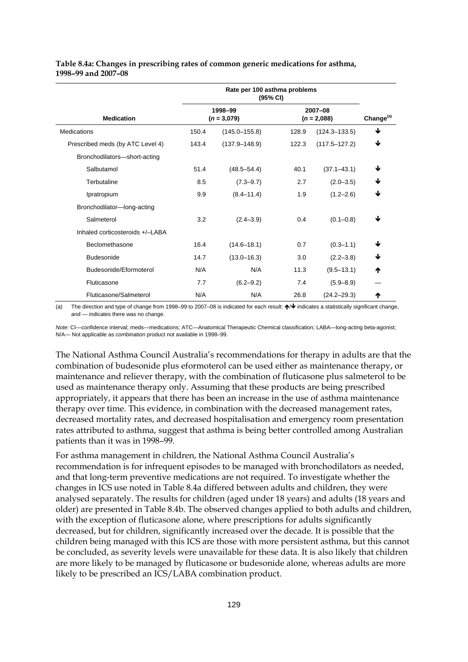#### **Table 8.4a: Changes in prescribing rates of common generic medications for asthma, 1998–99 and 2007–08**

| <b>Medication</b>                |       | 1998-99<br>$(n = 3,079)$ |       | 2007-08<br>$(n = 2,088)$ | Change <sup>(a)</sup> |
|----------------------------------|-------|--------------------------|-------|--------------------------|-----------------------|
| Medications                      | 150.4 | $(145.0 - 155.8)$        | 128.9 | $(124.3 - 133.5)$        | ↓                     |
| Prescribed meds (by ATC Level 4) | 143.4 | $(137.9 - 148.9)$        | 122.3 | $(117.5 - 127.2)$        | ↓                     |
| Bronchodilators-short-acting     |       |                          |       |                          |                       |
| Salbutamol                       | 51.4  | $(48.5 - 54.4)$          | 40.1  | $(37.1 - 43.1)$          | ↓                     |
| Terbutaline                      | 8.5   | $(7.3 - 9.7)$            | 2.7   | $(2.0 - 3.5)$            | ↓                     |
| Ipratropium                      | 9.9   | $(8.4 - 11.4)$           | 1.9   | $(1.2 - 2.6)$            | ↓                     |
| Bronchodilator-long-acting       |       |                          |       |                          |                       |
| Salmeterol                       | 3.2   | $(2.4 - 3.9)$            | 0.4   | $(0.1 - 0.8)$            | ↓                     |
| Inhaled corticosteroids +/-LABA  |       |                          |       |                          |                       |
| Beclomethasone                   | 16.4  | $(14.6 - 18.1)$          | 0.7   | $(0.3 - 1.1)$            | ↓                     |
| <b>Budesonide</b>                | 14.7  | $(13.0 - 16.3)$          | 3.0   | $(2.2 - 3.8)$            | ↓                     |
| Budesonide/Eformoterol           | N/A   | N/A                      | 11.3  | $(9.5 - 13.1)$           | ₼                     |
| Fluticasone                      | 7.7   | $(6.2 - 9.2)$            | 7.4   | $(5.9 - 8.9)$            |                       |
| Fluticasone/Salmeterol           | N/A   | N/A                      | 26.8  | $(24.2 - 29.3)$          | ተ                     |

(a) The direction and type of change from 1998–99 to 2007–08 is indicated for each result:  $\bigwedge \Psi$  indicates a statistically significant change, and — indicates there was no change.

*Note:* CI—confidence interval; meds—medications; ATC—Anatomical Therapeutic Chemical classification; LABA—long-acting beta-agonist; N/A*—* Not applicable as combination product not available in 1998–99.

The National Asthma Council Australia's recommendations for therapy in adults are that the combination of budesonide plus eformoterol can be used either as maintenance therapy, or maintenance and reliever therapy, with the combination of fluticasone plus salmeterol to be used as maintenance therapy only. Assuming that these products are being prescribed appropriately, it appears that there has been an increase in the use of asthma maintenance therapy over time. This evidence, in combination with the decreased management rates, decreased mortality rates, and decreased hospitalisation and emergency room presentation rates attributed to asthma, suggest that asthma is being better controlled among Australian patients than it was in 1998–99.

For asthma management in children, the National Asthma Council Australia's recommendation is for infrequent episodes to be managed with bronchodilators as needed, and that long-term preventive medications are not required. To investigate whether the changes in ICS use noted in Table 8.4a differed between adults and children, they were analysed separately. The results for children (aged under 18 years) and adults (18 years and older) are presented in Table 8.4b. The observed changes applied to both adults and children, with the exception of fluticasone alone, where prescriptions for adults significantly decreased, but for children, significantly increased over the decade. It is possible that the children being managed with this ICS are those with more persistent asthma, but this cannot be concluded, as severity levels were unavailable for these data. It is also likely that children are more likely to be managed by fluticasone or budesonide alone, whereas adults are more likely to be prescribed an ICS/LABA combination product.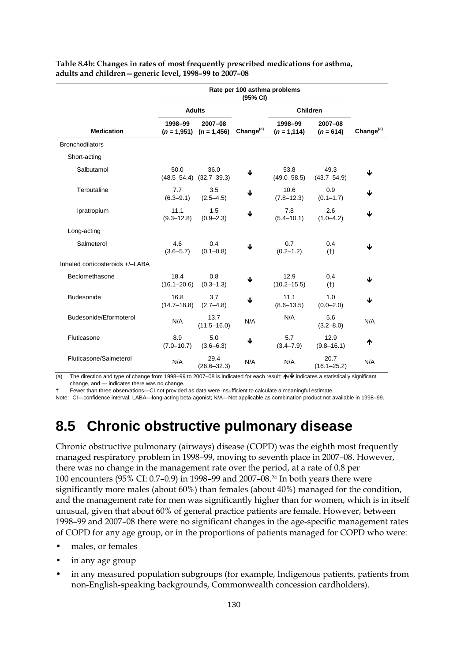| Rate per 100 asthma problems<br>(95% CI) |                         |                                         |                       |                           |                         |                       |
|------------------------------------------|-------------------------|-----------------------------------------|-----------------------|---------------------------|-------------------------|-----------------------|
|                                          |                         | <b>Adults</b>                           |                       | <b>Children</b>           |                         |                       |
| <b>Medication</b>                        | 1998-99                 | 2007-08<br>$(n = 1.951)$ $(n = 1.456)$  | Change <sup>(a)</sup> | 1998-99<br>$(n = 1, 114)$ | 2007-08<br>$(n = 614)$  | Change <sup>(a)</sup> |
| <b>Bronchodilators</b>                   |                         |                                         |                       |                           |                         |                       |
| Short-acting                             |                         |                                         |                       |                           |                         |                       |
| Salbutamol                               | 50.0                    | 36.0<br>$(48.5 - 54.4)$ $(32.7 - 39.3)$ | ↓                     | 53.8<br>$(49.0 - 58.5)$   | 49.3<br>$(43.7 - 54.9)$ | ↓                     |
| Terbutaline                              | 7.7<br>$(6.3 - 9.1)$    | 3.5<br>$(2.5 - 4.5)$                    | ↓                     | 10.6<br>$(7.8 - 12.3)$    | 0.9<br>$(0.1 - 1.7)$    | ↓                     |
| Ipratropium                              | 11.1<br>$(9.3 - 12.8)$  | 1.5<br>$(0.9 - 2.3)$                    | ↓                     | 7.8<br>$(5.4 - 10.1)$     | 2.6<br>$(1.0 - 4.2)$    | ↓                     |
| Long-acting                              |                         |                                         |                       |                           |                         |                       |
| Salmeterol                               | 4.6<br>$(3.6 - 5.7)$    | 0.4<br>$(0.1 - 0.8)$                    |                       | 0.7<br>$(0.2 - 1.2)$      | 0.4<br>(t)              | ↓                     |
| Inhaled corticosteroids +/-LABA          |                         |                                         |                       |                           |                         |                       |
| Beclomethasone                           | 18.4<br>$(16.1 - 20.6)$ | 0.8<br>$(0.3 - 1.3)$                    | ↓                     | 12.9<br>$(10.2 - 15.5)$   | 0.4<br>$(+)$            | ↓                     |
| <b>Budesonide</b>                        | 16.8<br>$(14.7 - 18.8)$ | 3.7<br>$(2.7 - 4.8)$                    | ↓                     | 11.1<br>$(8.6 - 13.5)$    | 1.0<br>$(0.0 - 2.0)$    | ↓                     |
| Budesonide/Eformoterol                   | N/A                     | 13.7<br>$(11.5 - 16.0)$                 | N/A                   | N/A                       | 5.6<br>$(3.2 - 8.0)$    | N/A                   |
| Fluticasone                              | 8.9<br>$(7.0 - 10.7)$   | 5.0<br>$(3.6 - 6.3)$                    | ↓                     | 5.7<br>$(3.4 - 7.9)$      | 12.9<br>$(9.8 - 16.1)$  | ↑                     |
| Fluticasone/Salmeterol                   | N/A                     | 29.4<br>$(26.6 - 32.3)$                 | N/A                   | N/A                       | 20.7<br>$(16.1 - 25.2)$ | N/A                   |

#### **Table 8.4b: Changes in rates of most frequently prescribed medications for asthma, adults and children—generic level, 1998–99 to 2007–08**

(a) The direction and type of change from 1998–99 to 2007–08 is indicated for each result:  $\bigwedge^{\mathbf{\psi}}$  indicates a statistically significant change, and — indicates there was no change.

† Fewer than three observations—CI not provided as data were insufficient to calculate a meaningful estimate.

Note: CI—confidence interval; LABA—long-acting beta-agonist; N/A—Not applicable as combination product not available in 1998–99.

# **8.5 Chronic obstructive pulmonary disease**

Chronic obstructive pulmonary (airways) disease (COPD) was the eighth most frequently managed respiratory problem in 1998–99, moving to seventh place in 2007–08. However, there was no change in the management rate over the period, at a rate of 0.8 per 100 encounters (95% CI: 0.7–0.9) in 1998–99 and 2007–08.24 In both years there were significantly more males (about 60%) than females (about 40%) managed for the condition, and the management rate for men was significantly higher than for women, which is in itself unusual, given that about 60% of general practice patients are female. However, between 1998–99 and 2007–08 there were no significant changes in the age-specific management rates of COPD for any age group, or in the proportions of patients managed for COPD who were:

- males, or females
- in any age group
- in any measured population subgroups (for example, Indigenous patients, patients from non-English-speaking backgrounds, Commonwealth concession cardholders).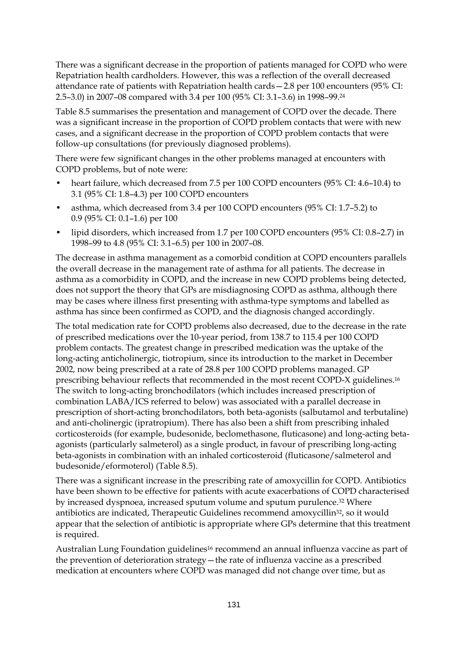There was a significant decrease in the proportion of patients managed for COPD who were Repatriation health cardholders. However, this was a reflection of the overall decreased attendance rate of patients with Repatriation health cards—2.8 per 100 encounters (95% CI: 2.5–3.0) in 2007–08 compared with 3.4 per 100 (95% CI: 3.1–3.6) in 1998–99.24

Table 8.5 summarises the presentation and management of COPD over the decade. There was a significant increase in the proportion of COPD problem contacts that were with new cases, and a significant decrease in the proportion of COPD problem contacts that were follow-up consultations (for previously diagnosed problems).

There were few significant changes in the other problems managed at encounters with COPD problems, but of note were:

- heart failure, which decreased from 7.5 per 100 COPD encounters (95% CI: 4.6–10.4) to 3.1 (95% CI: 1.8–4.3) per 100 COPD encounters
- asthma, which decreased from 3.4 per 100 COPD encounters (95% CI: 1.7–5.2) to 0.9 (95% CI: 0.1–1.6) per 100
- lipid disorders, which increased from 1.7 per 100 COPD encounters (95% CI: 0.8–2.7) in 1998–99 to 4.8 (95% CI: 3.1–6.5) per 100 in 2007–08.

The decrease in asthma management as a comorbid condition at COPD encounters parallels the overall decrease in the management rate of asthma for all patients. The decrease in asthma as a comorbidity in COPD, and the increase in new COPD problems being detected, does not support the theory that GPs are misdiagnosing COPD as asthma, although there may be cases where illness first presenting with asthma-type symptoms and labelled as asthma has since been confirmed as COPD, and the diagnosis changed accordingly.

The total medication rate for COPD problems also decreased, due to the decrease in the rate of prescribed medications over the 10-year period, from 138.7 to 115.4 per 100 COPD problem contacts. The greatest change in prescribed medication was the uptake of the long-acting anticholinergic, tiotropium, since its introduction to the market in December 2002, now being prescribed at a rate of 28.8 per 100 COPD problems managed. GP prescribing behaviour reflects that recommended in the most recent COPD-X guidelines.16 The switch to long-acting bronchodilators (which includes increased prescription of combination LABA/ICS referred to below) was associated with a parallel decrease in prescription of short-acting bronchodilators, both beta-agonists (salbutamol and terbutaline) and anti-cholinergic (ipratropium). There has also been a shift from prescribing inhaled corticosteroids (for example, budesonide, beclomethasone, fluticasone) and long-acting betaagonists (particularly salmeterol) as a single product, in favour of prescribing long-acting beta-agonists in combination with an inhaled corticosteroid (fluticasone/salmeterol and budesonide/eformoterol) (Table 8.5).

There was a significant increase in the prescribing rate of amoxycillin for COPD. Antibiotics have been shown to be effective for patients with acute exacerbations of COPD characterised by increased dyspnoea, increased sputum volume and sputum purulence.32 Where antibiotics are indicated, Therapeutic Guidelines recommend amoxycillin<sup>32</sup>, so it would appear that the selection of antibiotic is appropriate where GPs determine that this treatment is required.

Australian Lung Foundation guidelines<sup>16</sup> recommend an annual influenza vaccine as part of the prevention of deterioration strategy—the rate of influenza vaccine as a prescribed medication at encounters where COPD was managed did not change over time, but as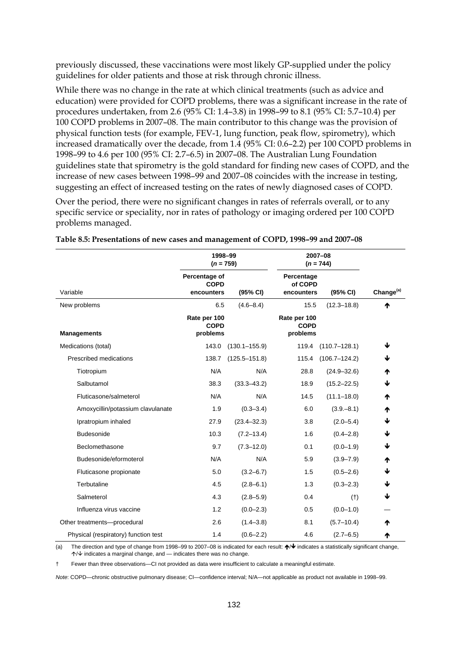previously discussed, these vaccinations were most likely GP-supplied under the policy guidelines for older patients and those at risk through chronic illness.

While there was no change in the rate at which clinical treatments (such as advice and education) were provided for COPD problems, there was a significant increase in the rate of procedures undertaken, from 2.6 (95% CI: 1.4–3.8) in 1998–99 to 8.1 (95% CI: 5.7–10.4) per 100 COPD problems in 2007–08. The main contributor to this change was the provision of physical function tests (for example, FEV-1, lung function, peak flow, spirometry), which increased dramatically over the decade, from 1.4 (95% CI: 0.6–2.2) per 100 COPD problems in 1998–99 to 4.6 per 100 (95% CI: 2.7–6.5) in 2007–08. The Australian Lung Foundation guidelines state that spirometry is the gold standard for finding new cases of COPD, and the increase of new cases between 1998–99 and 2007–08 coincides with the increase in testing, suggesting an effect of increased testing on the rates of newly diagnosed cases of COPD.

Over the period, there were no significant changes in rates of referrals overall, or to any specific service or speciality, nor in rates of pathology or imaging ordered per 100 COPD problems managed.

|                                      | 1998-99<br>$(n = 759)$                     |                   |                                     | 2007-08<br>$(n = 744)$ |                       |
|--------------------------------------|--------------------------------------------|-------------------|-------------------------------------|------------------------|-----------------------|
| Variable                             | Percentage of<br><b>COPD</b><br>encounters | (95% CI)          | Percentage<br>of COPD<br>encounters | (95% CI)               | Change <sup>(a)</sup> |
| New problems                         | 6.5<br>Rate per 100<br><b>COPD</b>         | $(4.6 - 8.4)$     | 15.5<br>Rate per 100<br><b>COPD</b> | $(12.3 - 18.8)$        | ♠                     |
| <b>Managements</b>                   | problems                                   |                   | problems                            |                        |                       |
| Medications (total)                  | 143.0                                      | $(130.1 - 155.9)$ | 119.4                               | $(110.7 - 128.1)$      | ↓                     |
| Prescribed medications               | 138.7                                      | $(125.5 - 151.8)$ | 115.4                               | $(106.7 - 124.2)$      | ↓                     |
| Tiotropium                           | N/A                                        | N/A               | 28.8                                | $(24.9 - 32.6)$        | ₼                     |
| Salbutamol                           | 38.3                                       | $(33.3 - 43.2)$   | 18.9                                | $(15.2 - 22.5)$        | ↓                     |
| Fluticasone/salmeterol               | N/A                                        | N/A               | 14.5                                | $(11.1 - 18.0)$        | ₼                     |
| Amoxycillin/potassium clavulanate    | 1.9                                        | $(0.3 - 3.4)$     | 6.0                                 | $(3.9 - 8.1)$          | ₼                     |
| Ipratropium inhaled                  | 27.9                                       | $(23.4 - 32.3)$   | 3.8                                 | $(2.0 - 5.4)$          | ↓                     |
| <b>Budesonide</b>                    | 10.3                                       | $(7.2 - 13.4)$    | 1.6                                 | $(0.4 - 2.8)$          | ↓                     |
| Beclomethasone                       | 9.7                                        | $(7.3 - 12.0)$    | 0.1                                 | $(0.0 - 1.9)$          | ↓                     |
| Budesonide/eformoterol               | N/A                                        | N/A               | 5.9                                 | $(3.9 - 7.9)$          | ₼                     |
| Fluticasone propionate               | 5.0                                        | $(3.2 - 6.7)$     | 1.5                                 | $(0.5 - 2.6)$          | ↓                     |
| Terbutaline                          | 4.5                                        | $(2.8 - 6.1)$     | 1.3                                 | $(0.3 - 2.3)$          | ↓                     |
| Salmeterol                           | 4.3                                        | $(2.8 - 5.9)$     | 0.4                                 | (t)                    | ↓                     |
| Influenza virus vaccine              | 1.2                                        | $(0.0 - 2.3)$     | 0.5                                 | $(0.0 - 1.0)$          |                       |
| Other treatments--procedural         | 2.6                                        | $(1.4 - 3.8)$     | 8.1                                 | $(5.7 - 10.4)$         | ₼                     |
| Physical (respiratory) function test | 1.4                                        | $(0.6 - 2.2)$     | 4.6                                 | $(2.7 - 6.5)$          | ₼                     |

| Table 8.5: Presentations of new cases and management of COPD, 1998–99 and 2007–08 |  |  |
|-----------------------------------------------------------------------------------|--|--|
|                                                                                   |  |  |

(a) The direction and type of change from 1998–99 to 2007–08 is indicated for each result:  $\bigwedge^1$  indicates a statistically significant change,  $\uparrow/\downarrow$  indicates a marginal change, and — indicates there was no change.

† Fewer than three observations—CI not provided as data were insufficient to calculate a meaningful estimate.

*Note*: COPD—chronic obstructive pulmonary disease; CI—confidence interval; N/A—not applicable as product not available in 1998–99.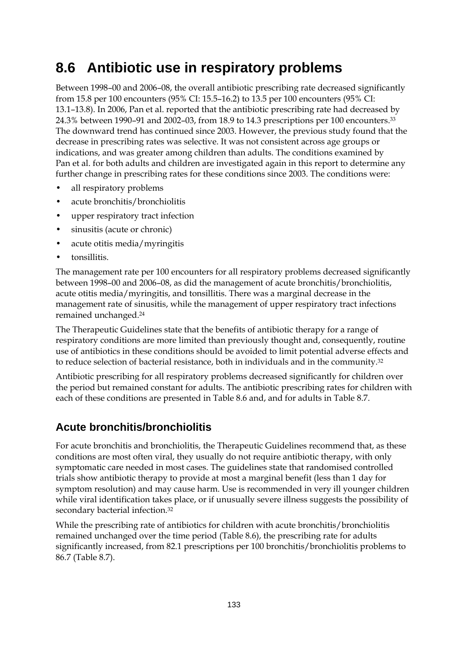# **8.6 Antibiotic use in respiratory problems**

Between 1998–00 and 2006–08, the overall antibiotic prescribing rate decreased significantly from 15.8 per 100 encounters (95% CI: 15.5–16.2) to 13.5 per 100 encounters (95% CI: 13.1–13.8). In 2006, Pan et al. reported that the antibiotic prescribing rate had decreased by 24.3% between 1990–91 and 2002–03, from 18.9 to 14.3 prescriptions per 100 encounters.33 The downward trend has continued since 2003. However, the previous study found that the decrease in prescribing rates was selective. It was not consistent across age groups or indications, and was greater among children than adults. The conditions examined by Pan et al. for both adults and children are investigated again in this report to determine any further change in prescribing rates for these conditions since 2003. The conditions were:

- all respiratory problems
- acute bronchitis/bronchiolitis
- upper respiratory tract infection
- sinusitis (acute or chronic)
- acute otitis media/myringitis
- tonsillitis.

The management rate per 100 encounters for all respiratory problems decreased significantly between 1998–00 and 2006–08, as did the management of acute bronchitis/bronchiolitis, acute otitis media/myringitis, and tonsillitis. There was a marginal decrease in the management rate of sinusitis, while the management of upper respiratory tract infections remained unchanged.24

The Therapeutic Guidelines state that the benefits of antibiotic therapy for a range of respiratory conditions are more limited than previously thought and, consequently, routine use of antibiotics in these conditions should be avoided to limit potential adverse effects and to reduce selection of bacterial resistance, both in individuals and in the community.32

Antibiotic prescribing for all respiratory problems decreased significantly for children over the period but remained constant for adults. The antibiotic prescribing rates for children with each of these conditions are presented in Table 8.6 and, and for adults in Table 8.7.

## **Acute bronchitis/bronchiolitis**

For acute bronchitis and bronchiolitis, the Therapeutic Guidelines recommend that, as these conditions are most often viral, they usually do not require antibiotic therapy, with only symptomatic care needed in most cases. The guidelines state that randomised controlled trials show antibiotic therapy to provide at most a marginal benefit (less than 1 day for symptom resolution) and may cause harm. Use is recommended in very ill younger children while viral identification takes place, or if unusually severe illness suggests the possibility of secondary bacterial infection.32

While the prescribing rate of antibiotics for children with acute bronchitis/bronchiolitis remained unchanged over the time period (Table 8.6), the prescribing rate for adults significantly increased, from 82.1 prescriptions per 100 bronchitis/bronchiolitis problems to 86.7 (Table 8.7).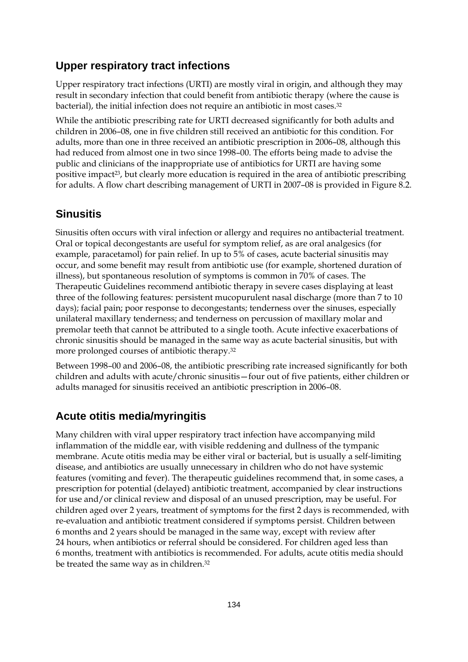### **Upper respiratory tract infections**

Upper respiratory tract infections (URTI) are mostly viral in origin, and although they may result in secondary infection that could benefit from antibiotic therapy (where the cause is bacterial), the initial infection does not require an antibiotic in most cases.32

While the antibiotic prescribing rate for URTI decreased significantly for both adults and children in 2006–08, one in five children still received an antibiotic for this condition. For adults, more than one in three received an antibiotic prescription in 2006–08, although this had reduced from almost one in two since 1998–00. The efforts being made to advise the public and clinicians of the inappropriate use of antibiotics for URTI are having some positive impact<sup>23</sup>, but clearly more education is required in the area of antibiotic prescribing for adults. A flow chart describing management of URTI in 2007–08 is provided in Figure 8.2.

### **Sinusitis**

Sinusitis often occurs with viral infection or allergy and requires no antibacterial treatment. Oral or topical decongestants are useful for symptom relief, as are oral analgesics (for example, paracetamol) for pain relief. In up to 5% of cases, acute bacterial sinusitis may occur, and some benefit may result from antibiotic use (for example, shortened duration of illness), but spontaneous resolution of symptoms is common in 70% of cases. The Therapeutic Guidelines recommend antibiotic therapy in severe cases displaying at least three of the following features: persistent mucopurulent nasal discharge (more than 7 to 10 days); facial pain; poor response to decongestants; tenderness over the sinuses, especially unilateral maxillary tenderness; and tenderness on percussion of maxillary molar and premolar teeth that cannot be attributed to a single tooth. Acute infective exacerbations of chronic sinusitis should be managed in the same way as acute bacterial sinusitis, but with more prolonged courses of antibiotic therapy.32

Between 1998–00 and 2006–08, the antibiotic prescribing rate increased significantly for both children and adults with acute/chronic sinusitis—four out of five patients, either children or adults managed for sinusitis received an antibiotic prescription in 2006–08.

### **Acute otitis media/myringitis**

Many children with viral upper respiratory tract infection have accompanying mild inflammation of the middle ear, with visible reddening and dullness of the tympanic membrane. Acute otitis media may be either viral or bacterial, but is usually a self-limiting disease, and antibiotics are usually unnecessary in children who do not have systemic features (vomiting and fever). The therapeutic guidelines recommend that, in some cases, a prescription for potential (delayed) antibiotic treatment, accompanied by clear instructions for use and/or clinical review and disposal of an unused prescription, may be useful. For children aged over 2 years, treatment of symptoms for the first 2 days is recommended, with re-evaluation and antibiotic treatment considered if symptoms persist. Children between 6 months and 2 years should be managed in the same way, except with review after 24 hours, when antibiotics or referral should be considered. For children aged less than 6 months, treatment with antibiotics is recommended. For adults, acute otitis media should be treated the same way as in children.32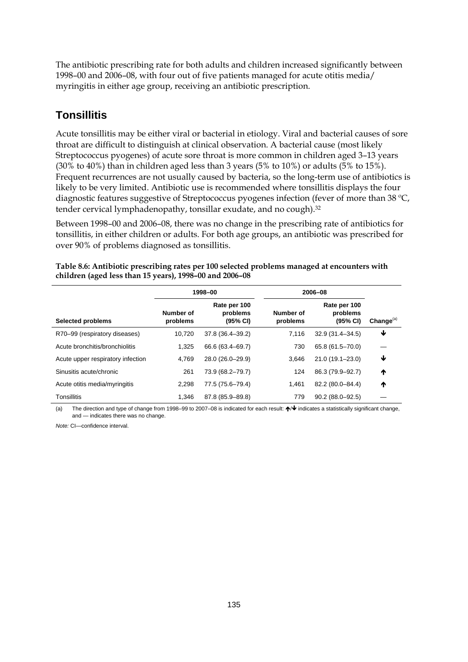The antibiotic prescribing rate for both adults and children increased significantly between 1998–00 and 2006–08, with four out of five patients managed for acute otitis media/ myringitis in either age group, receiving an antibiotic prescription.

## **Tonsillitis**

Acute tonsillitis may be either viral or bacterial in etiology. Viral and bacterial causes of sore throat are difficult to distinguish at clinical observation. A bacterial cause (most likely Streptococcus pyogenes) of acute sore throat is more common in children aged 3–13 years (30% to 40%) than in children aged less than 3 years (5% to 10%) or adults (5% to 15%). Frequent recurrences are not usually caused by bacteria, so the long-term use of antibiotics is likely to be very limited. Antibiotic use is recommended where tonsillitis displays the four diagnostic features suggestive of Streptococcus pyogenes infection (fever of more than 38 °C, tender cervical lymphadenopathy, tonsillar exudate, and no cough).32

Between 1998–00 and 2006–08, there was no change in the prescribing rate of antibiotics for tonsillitis, in either children or adults. For both age groups, an antibiotic was prescribed for over 90% of problems diagnosed as tonsillitis.

|                                   |                       | 1998-00                              | 2006-08               |                                      |              |
|-----------------------------------|-----------------------|--------------------------------------|-----------------------|--------------------------------------|--------------|
| <b>Selected problems</b>          | Number of<br>problems | Rate per 100<br>problems<br>(95% CI) | Number of<br>problems | Rate per 100<br>problems<br>(95% CI) | Change $(a)$ |
| R70-99 (respiratory diseases)     | 10.720                | 37.8 (36.4-39.2)                     | 7,116                 | $32.9(31.4 - 34.5)$                  | ₩            |
| Acute bronchitis/bronchiolitis    | 1.325                 | 66.6 (63.4–69.7)                     | 730                   | 65.8 (61.5-70.0)                     |              |
| Acute upper respiratory infection | 4.769                 | 28.0 (26.0-29.9)                     | 3.646                 | $21.0(19.1 - 23.0)$                  | ₩            |
| Sinusitis acute/chronic           | 261                   | 73.9 (68.2-79.7)                     | 124                   | 86.3 (79.9-92.7)                     | ₼            |
| Acute otitis media/myringitis     | 2.298                 | 77.5 (75.6–79.4)                     | 1.461                 | 82.2 (80.0-84.4)                     | ↑            |
| <b>Tonsillitis</b>                | 1.346                 | 87.8 (85.9-89.8)                     | 779                   | $90.2(88.0 - 92.5)$                  |              |

**Table 8.6: Antibiotic prescribing rates per 100 selected problems managed at encounters with children (aged less than 15 years), 1998–00 and 2006–08** 

(a) The direction and type of change from 1998–99 to 2007–08 is indicated for each result:  $\bigwedge^{\mathbf{\psi}}$  indicates a statistically significant change, and — indicates there was no change.

*Note:* CI—confidence interval.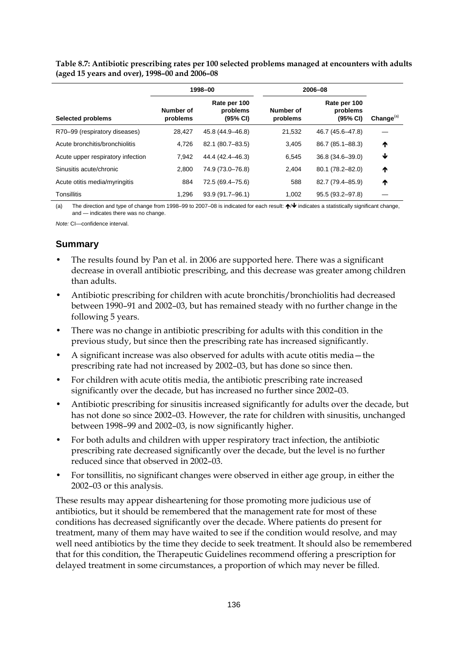**Table 8.7: Antibiotic prescribing rates per 100 selected problems managed at encounters with adults (aged 15 years and over), 1998–00 and 2006–08** 

|                                   | 2006-08<br>1998-00    |                                      |                       |                                      |              |
|-----------------------------------|-----------------------|--------------------------------------|-----------------------|--------------------------------------|--------------|
| <b>Selected problems</b>          | Number of<br>problems | Rate per 100<br>problems<br>(95% CI) | Number of<br>problems | Rate per 100<br>problems<br>(95% CI) | Change $(a)$ |
| R70-99 (respiratory diseases)     | 28.427                | 45.8 (44.9-46.8)                     | 21.532                | 46.7 (45.6-47.8)                     |              |
| Acute bronchitis/bronchiolitis    | 4.726                 | 82.1 (80.7-83.5)                     | 3.405                 | 86.7 (85.1–88.3)                     | ₼            |
| Acute upper respiratory infection | 7.942                 | 44.4 (42.4–46.3)                     | 6.545                 | $36.8(34.6 - 39.0)$                  | ↓            |
| Sinusitis acute/chronic           | 2.800                 | 74.9 (73.0-76.8)                     | 2.404                 | 80.1 (78.2-82.0)                     | ↑            |
| Acute otitis media/myringitis     | 884                   | 72.5 (69.4-75.6)                     | 588                   | 82.7 (79.4-85.9)                     | ₼            |
| <b>Tonsillitis</b>                | 1.296                 | 93.9 (91.7-96.1)                     | 1.002                 | $95.5(93.2 - 97.8)$                  |              |

(a) The direction and type of change from 1998–99 to 2007–08 is indicated for each result:  $\bigtriangleup\bigtriangledown\bigtriangledown\bigtriangleup$  indicates a statistically significant change, and — indicates there was no change.

*Note:* CI—confidence interval.

#### **Summary**

- The results found by Pan et al. in 2006 are supported here. There was a significant decrease in overall antibiotic prescribing, and this decrease was greater among children than adults.
- Antibiotic prescribing for children with acute bronchitis/bronchiolitis had decreased between 1990–91 and 2002–03, but has remained steady with no further change in the following 5 years.
- There was no change in antibiotic prescribing for adults with this condition in the previous study, but since then the prescribing rate has increased significantly.
- A significant increase was also observed for adults with acute otitis media—the prescribing rate had not increased by 2002–03, but has done so since then.
- For children with acute otitis media, the antibiotic prescribing rate increased significantly over the decade, but has increased no further since 2002–03.
- Antibiotic prescribing for sinusitis increased significantly for adults over the decade, but has not done so since 2002–03. However, the rate for children with sinusitis, unchanged between 1998–99 and 2002–03, is now significantly higher.
- For both adults and children with upper respiratory tract infection, the antibiotic prescribing rate decreased significantly over the decade, but the level is no further reduced since that observed in 2002–03.
- For tonsillitis, no significant changes were observed in either age group, in either the 2002–03 or this analysis.

These results may appear disheartening for those promoting more judicious use of antibiotics, but it should be remembered that the management rate for most of these conditions has decreased significantly over the decade. Where patients do present for treatment, many of them may have waited to see if the condition would resolve, and may well need antibiotics by the time they decide to seek treatment. It should also be remembered that for this condition, the Therapeutic Guidelines recommend offering a prescription for delayed treatment in some circumstances, a proportion of which may never be filled.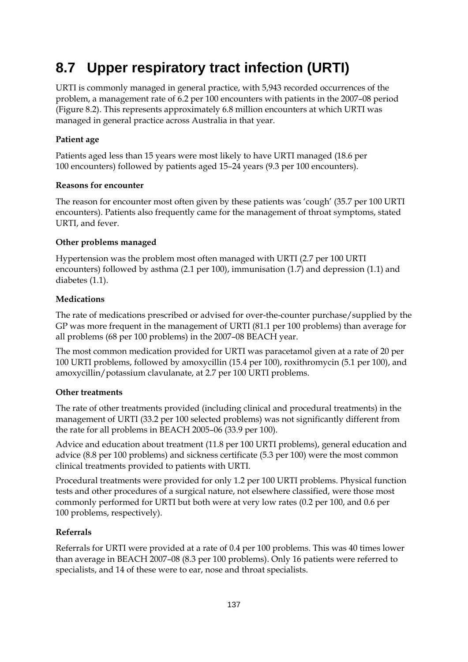# **8.7 Upper respiratory tract infection (URTI)**

URTI is commonly managed in general practice, with 5,943 recorded occurrences of the problem, a management rate of 6.2 per 100 encounters with patients in the 2007–08 period (Figure 8.2). This represents approximately 6.8 million encounters at which URTI was managed in general practice across Australia in that year.

### **Patient age**

Patients aged less than 15 years were most likely to have URTI managed (18.6 per 100 encounters) followed by patients aged 15–24 years (9.3 per 100 encounters).

### **Reasons for encounter**

The reason for encounter most often given by these patients was 'cough' (35.7 per 100 URTI encounters). Patients also frequently came for the management of throat symptoms, stated URTI, and fever.

### **Other problems managed**

Hypertension was the problem most often managed with URTI (2.7 per 100 URTI encounters) followed by asthma (2.1 per 100), immunisation (1.7) and depression (1.1) and diabetes (1.1).

#### **Medications**

The rate of medications prescribed or advised for over-the-counter purchase/supplied by the GP was more frequent in the management of URTI (81.1 per 100 problems) than average for all problems (68 per 100 problems) in the 2007–08 BEACH year.

The most common medication provided for URTI was paracetamol given at a rate of 20 per 100 URTI problems, followed by amoxycillin (15.4 per 100), roxithromycin (5.1 per 100), and amoxycillin/potassium clavulanate, at 2.7 per 100 URTI problems.

### **Other treatments**

The rate of other treatments provided (including clinical and procedural treatments) in the management of URTI (33.2 per 100 selected problems) was not significantly different from the rate for all problems in BEACH 2005–06 (33.9 per 100).

Advice and education about treatment (11.8 per 100 URTI problems), general education and advice (8.8 per 100 problems) and sickness certificate (5.3 per 100) were the most common clinical treatments provided to patients with URTI.

Procedural treatments were provided for only 1.2 per 100 URTI problems. Physical function tests and other procedures of a surgical nature, not elsewhere classified, were those most commonly performed for URTI but both were at very low rates (0.2 per 100, and 0.6 per 100 problems, respectively).

### **Referrals**

Referrals for URTI were provided at a rate of 0.4 per 100 problems. This was 40 times lower than average in BEACH 2007–08 (8.3 per 100 problems). Only 16 patients were referred to specialists, and 14 of these were to ear, nose and throat specialists.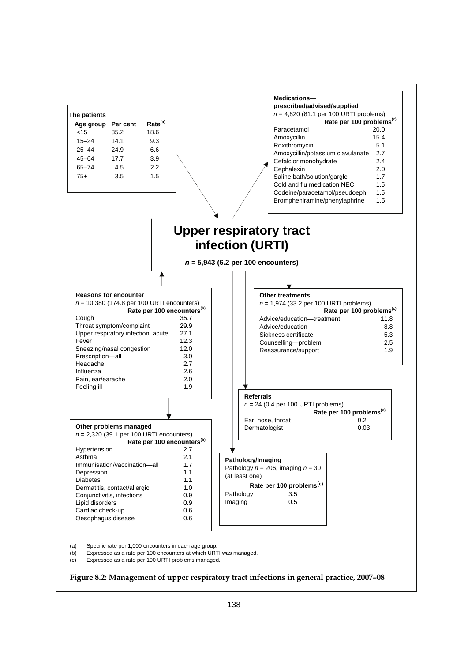

(a) Specific rate per 1,000 encounters in each age group.

(b) Expressed as a rate per 100 encounters at which URTI was managed.

(c) Expressed as a rate per 100 URTI problems managed.

#### **Figure 8.2: Management of upper respiratory tract infections in general practice, 2007–08**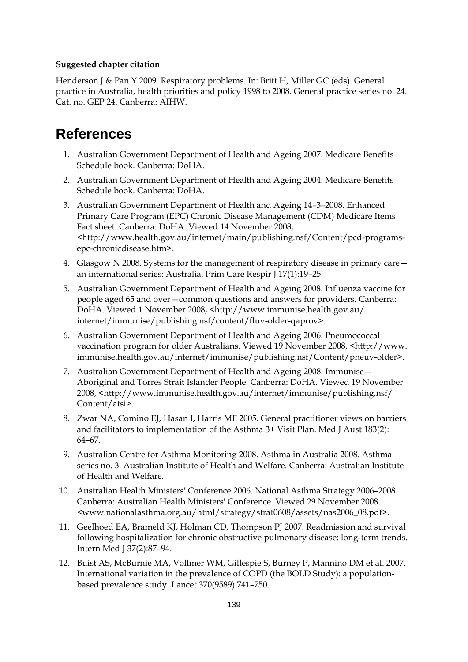#### **Suggested chapter citation**

Henderson J & Pan Y 2009. Respiratory problems. In: Britt H, Miller GC (eds). General practice in Australia, health priorities and policy 1998 to 2008. General practice series no. 24. Cat. no. GEP 24. Canberra: AIHW.

# **References**

- 1. Australian Government Department of Health and Ageing 2007. Medicare Benefits Schedule book. Canberra: DoHA.
- 2. Australian Government Department of Health and Ageing 2004. Medicare Benefits Schedule book. Canberra: DoHA.
- 3. Australian Government Department of Health and Ageing 14–3–2008. Enhanced Primary Care Program (EPC) Chronic Disease Management (CDM) Medicare Items Fact sheet. Canberra: DoHA. Viewed 14 November 2008, <http://www.health.gov.au/internet/main/publishing.nsf/Content/pcd-programsepc-chronicdisease.htm>.
- 4. Glasgow N 2008. Systems for the management of respiratory disease in primary care an international series: Australia. Prim Care Respir J 17(1):19–25.
- 5. Australian Government Department of Health and Ageing 2008. Influenza vaccine for people aged 65 and over—common questions and answers for providers. Canberra: DoHA. Viewed 1 November 2008, <http://www.immunise.health.gov.au/ internet/immunise/publishing.nsf/content/fluv-older-qaprov>.
- 6. Australian Government Department of Health and Ageing 2006. Pneumococcal vaccination program for older Australians. Viewed 19 November 2008, <http://www. immunise.health.gov.au/internet/immunise/publishing.nsf/Content/pneuv-older>.
- 7. Australian Government Department of Health and Ageing 2008. Immunise— Aboriginal and Torres Strait Islander People. Canberra: DoHA. Viewed 19 November 2008, <http://www.immunise.health.gov.au/internet/immunise/publishing.nsf/ Content/atsi>.
- 8. Zwar NA, Comino EJ, Hasan I, Harris MF 2005. General practitioner views on barriers and facilitators to implementation of the Asthma 3+ Visit Plan. Med J Aust 183(2): 64–67.
- 9. Australian Centre for Asthma Monitoring 2008. Asthma in Australia 2008. Asthma series no. 3. Australian Institute of Health and Welfare. Canberra: Australian Institute of Health and Welfare.
- 10. Australian Health Ministers' Conference 2006. National Asthma Strategy 2006–2008. Canberra: Australian Health Ministers' Conference. Viewed 29 November 2008. <www.nationalasthma.org.au/html/strategy/strat0608/assets/nas2006\_08.pdf>.
- 11. Geelhoed EA, Brameld KJ, Holman CD, Thompson PJ 2007. Readmission and survival following hospitalization for chronic obstructive pulmonary disease: long-term trends. Intern Med J 37(2):87–94.
- 12. Buist AS, McBurnie MA, Vollmer WM, Gillespie S, Burney P, Mannino DM et al. 2007. International variation in the prevalence of COPD (the BOLD Study): a populationbased prevalence study. Lancet 370(9589):741–750.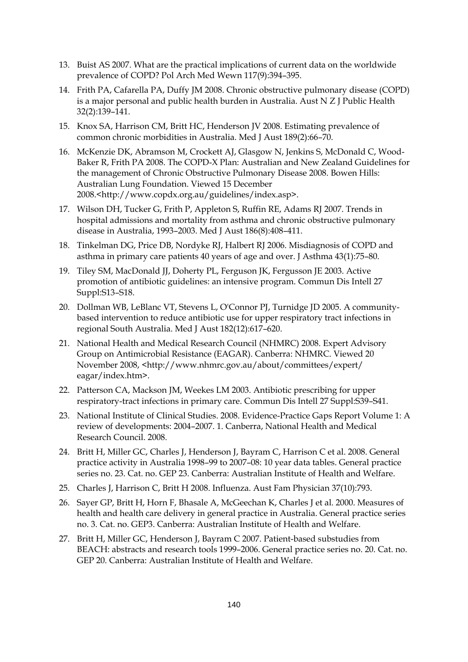- 13. Buist AS 2007. What are the practical implications of current data on the worldwide prevalence of COPD? Pol Arch Med Wewn 117(9):394–395.
- 14. Frith PA, Cafarella PA, Duffy JM 2008. Chronic obstructive pulmonary disease (COPD) is a major personal and public health burden in Australia. Aust N Z J Public Health 32(2):139–141.
- 15. Knox SA, Harrison CM, Britt HC, Henderson JV 2008. Estimating prevalence of common chronic morbidities in Australia. Med J Aust 189(2):66–70.
- 16. McKenzie DK, Abramson M, Crockett AJ, Glasgow N, Jenkins S, McDonald C, Wood-Baker R, Frith PA 2008. The COPD-X Plan: Australian and New Zealand Guidelines for the management of Chronic Obstructive Pulmonary Disease 2008. Bowen Hills: Australian Lung Foundation. Viewed 15 December 2008.<http://www.copdx.org.au/guidelines/index.asp>.
- 17. Wilson DH, Tucker G, Frith P, Appleton S, Ruffin RE, Adams RJ 2007. Trends in hospital admissions and mortality from asthma and chronic obstructive pulmonary disease in Australia, 1993–2003. Med J Aust 186(8):408–411.
- 18. Tinkelman DG, Price DB, Nordyke RJ, Halbert RJ 2006. Misdiagnosis of COPD and asthma in primary care patients 40 years of age and over. J Asthma 43(1):75–80.
- 19. Tiley SM, MacDonald JJ, Doherty PL, Ferguson JK, Fergusson JE 2003. Active promotion of antibiotic guidelines: an intensive program. Commun Dis Intell 27 Suppl:S13–S18.
- 20. Dollman WB, LeBlanc VT, Stevens L, O'Connor PJ, Turnidge JD 2005. A communitybased intervention to reduce antibiotic use for upper respiratory tract infections in regional South Australia. Med J Aust 182(12):617–620.
- 21. National Health and Medical Research Council (NHMRC) 2008. Expert Advisory Group on Antimicrobial Resistance (EAGAR). Canberra: NHMRC. Viewed 20 November 2008, <http://www.nhmrc.gov.au/about/committees/expert/ eagar/index.htm>.
- 22. Patterson CA, Mackson JM, Weekes LM 2003. Antibiotic prescribing for upper respiratory-tract infections in primary care. Commun Dis Intell 27 Suppl:S39–S41.
- 23. National Institute of Clinical Studies. 2008. Evidence-Practice Gaps Report Volume 1: A review of developments: 2004–2007. 1. Canberra, National Health and Medical Research Council. 2008.
- 24. Britt H, Miller GC, Charles J, Henderson J, Bayram C, Harrison C et al. 2008. General practice activity in Australia 1998–99 to 2007–08: 10 year data tables. General practice series no. 23. Cat. no. GEP 23. Canberra: Australian Institute of Health and Welfare.
- 25. Charles J, Harrison C, Britt H 2008. Influenza. Aust Fam Physician 37(10):793.
- 26. Sayer GP, Britt H, Horn F, Bhasale A, McGeechan K, Charles J et al. 2000. Measures of health and health care delivery in general practice in Australia. General practice series no. 3. Cat. no. GEP3. Canberra: Australian Institute of Health and Welfare.
- 27. Britt H, Miller GC, Henderson J, Bayram C 2007. Patient-based substudies from BEACH: abstracts and research tools 1999–2006. General practice series no. 20. Cat. no. GEP 20. Canberra: Australian Institute of Health and Welfare.